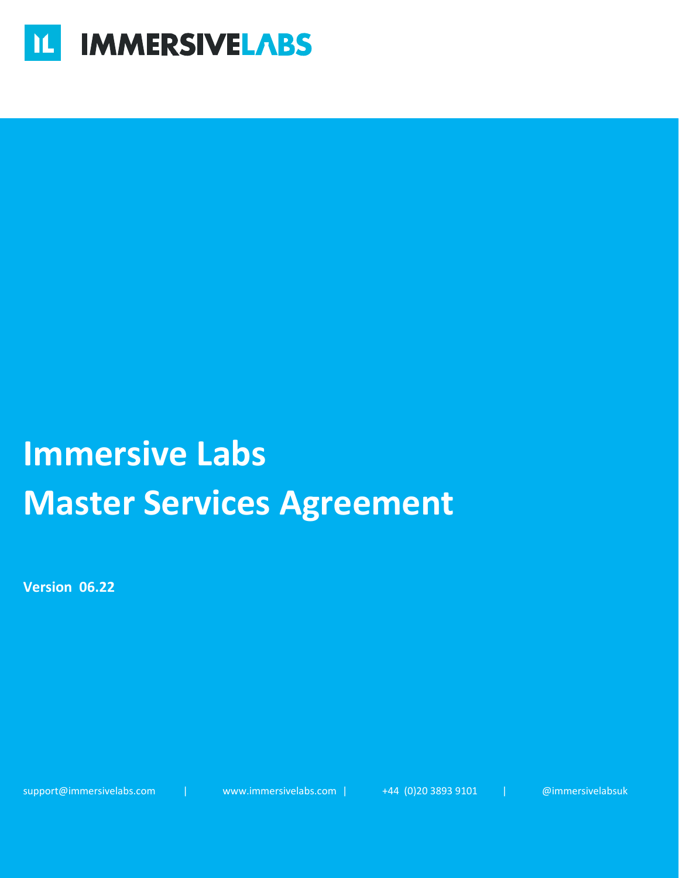

# **Immersive Labs Master Services Agreement**

**Version 06.22**

support@immersivelabs.com | www.immersivelabs.com | +44 (0)20 3893 9101 | @immersivelabsuk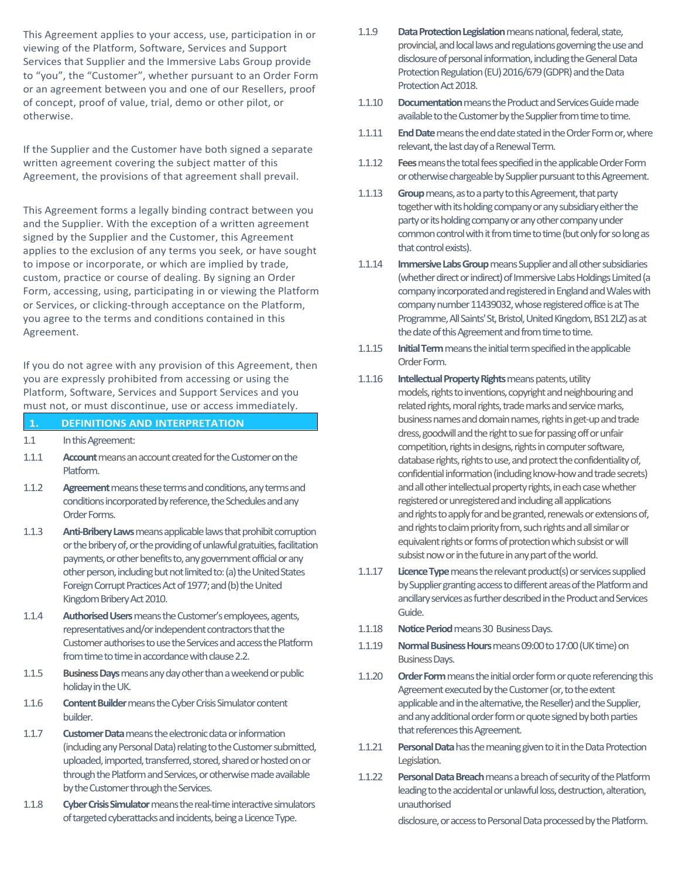This Agreement applies to your access, use, participation in or viewing of the Platform, Software, Services and Support Services that Supplier and the Immersive Labs Group provide to "you", the "Customer", whether pursuant to an Order Form or an agreement between you and one of our Resellers, proof of concept, proof of value, trial, demo or other pilot, or otherwise.

If the Supplier and the Customer have both signed a separate written agreement covering the subject matter of this Agreement, the provisions of that agreement shall prevail.

This Agreement forms a legally binding contract between you and the Supplier. With the exception of a written agreement signed by the Supplier and the Customer, this Agreement applies to the exclusion of any terms you seek, or have sought to impose or incorporate, or which are implied by trade, custom, practice or course of dealing. By signing an Order Form, accessing, using, participating in or viewing the Platform or Services, or clicking-through acceptance on the Platform, you agree to the terms and conditions contained in this Agreement.

If you do not agree with any provision of this Agreement, then you are expressly prohibited from accessing or using the Platform, Software, Services and Support Services and you must not, or must discontinue, use or access immediately.

**1. DEFINITIONS AND INTERPRETATION**

| ш.    | <b>DEFINITIONS AND INTENFRETATION</b>                                                                                                                                                                                                                                                                                                                                         |
|-------|-------------------------------------------------------------------------------------------------------------------------------------------------------------------------------------------------------------------------------------------------------------------------------------------------------------------------------------------------------------------------------|
| 1.1   | In this Agreement:                                                                                                                                                                                                                                                                                                                                                            |
| 1.1.1 | <b>Account</b> means an account created for the Customer on the<br>Platform.                                                                                                                                                                                                                                                                                                  |
| 1.1.2 | Agreement means these terms and conditions, any terms and<br>conditions incorporated by reference, the Schedules and any<br>Order Forms.                                                                                                                                                                                                                                      |
| 1.1.3 | Anti-Bribery Laws means applicable laws that prohibit corruption<br>or the bribery of, or the providing of unlawful gratuities, facilitation<br>payments, or other benefits to, any government official or any<br>other person, including but not limited to: (a) the United States<br>Foreign Corrupt Practices Act of 1977; and (b) the United<br>Kingdom Bribery Act 2010. |
| 1.1.4 | <b>Authorised Users</b> means the Customer's employees, agents,<br>representatives and/or independent contractors that the<br>Customer authorises to use the Services and access the Platform<br>from time to time in accordance with clause 2.2.                                                                                                                             |
| 1.1.5 | <b>Business Days</b> means any day other than a weekend or public<br>holiday in the UK.                                                                                                                                                                                                                                                                                       |
| 1.1.6 | <b>Content Builder</b> means the Cyber Crisis Simulator content<br>builder.                                                                                                                                                                                                                                                                                                   |
| 1.1.7 | <b>Customer Data</b> means the electronic data or information<br>(induding any Personal Data) relating to the Customer submitted,                                                                                                                                                                                                                                             |

- (including any Personal Data) relating to the Customer submitted, uploaded, imported, transferred, stored, shared or hosted on or through the Platform and Services, or otherwise made available by the Customer through the Services.
- 1.1.8 **Cyber Crisis Simulator**means the real-time interactive simulators of targeted cyberattacks and incidents, being a Licence Type.
- 1.1.9 **Data Protection Legislation**means national, federal, state, provincial, and local laws and regulations governing the use and disclosure of personal information, including the General Data Protection Regulation (EU) 2016/679 (GDPR) and the Data Protection Act 2018.
- 1.1.10 **Documentation**means the Product and Services Guide made available to the Customer by the Supplier from time to time.
- 1.1.11 **End Date** means the end date stated in the Order Formor, where relevant, the last day of a Renewal Term.
- 1.1.12 **Fees**means the total fees specified in the applicable Order Form or otherwise chargeable by Supplier pursuant to this Agreement.
- 1.1.13 **Group**means, as to a party to this Agreement, that party together with its holding company or any subsidiary either the party or its holding company or any other company under common control with it from time to time (but only for so long as that control exists).
- 1.1.14 **Immersive Labs Group**means Supplier and all other subsidiaries (whether direct or indirect) of Immersive Labs Holdings Limited (a company incorporated and registered in England and Wales with company number 11439032, whose registered office is at The Programme, All Saints' St, Bristol, United Kingdom, BS1 2LZ) as at the date of this Agreement and from time to time.
- 1.1.15 **Initial Term**means the initial term specified in the applicable Order Form.
- 1.1.16 **Intellectual Property Rights** means patents, utility models, rights to inventions, copyright and neighbouring and related rights, moral rights, trade marks and service marks, business names and domain names, rights in get-up and trade dress, goodwill and the right to sue for passing off or unfair competition, rights in designs, rights in computer software, database rights, rights to use, and protect the confidentiality of, confidential information (including know-how and trade secrets) and all other intellectual property rights, in each case whether registered or unregistered and including all applications and rights to apply for and be granted, renewals or extensions of, and rights to claim priority from, such rights and all similar or equivalent rights or forms of protection which subsist or will subsist now or in the future in any part of the world.
- 1.1.17 **Licence Type** means the relevant product(s) or services supplied by Supplier granting access to different areas of the Platform and ancillary services as further described in the Product and Services Guide.
- 1.1.18 **Notice Period**means30 Business Days.
- 1.1.19 **Normal Business Hours** means 09:00 to 17:00 (UK time) on **Business Days.**
- 1.1.20 **Order Form**means the initial order form or quote referencing this Agreement executed by the Customer (or, to the extent applicable and in the alternative, the Reseller) and the Supplier, and any additional order form or quote signed by both parties that references this Agreement.
- 1.1.21 **Personal Data**has the meaning given to it in the Data Protection Legislation.
- 1.1.22 **Personal Data Breach**means a breach of security of the Platform leading to the accidental or unlawful loss, destruction, alteration, unauthorised

disclosure, or access to Personal Data processed by the Platform.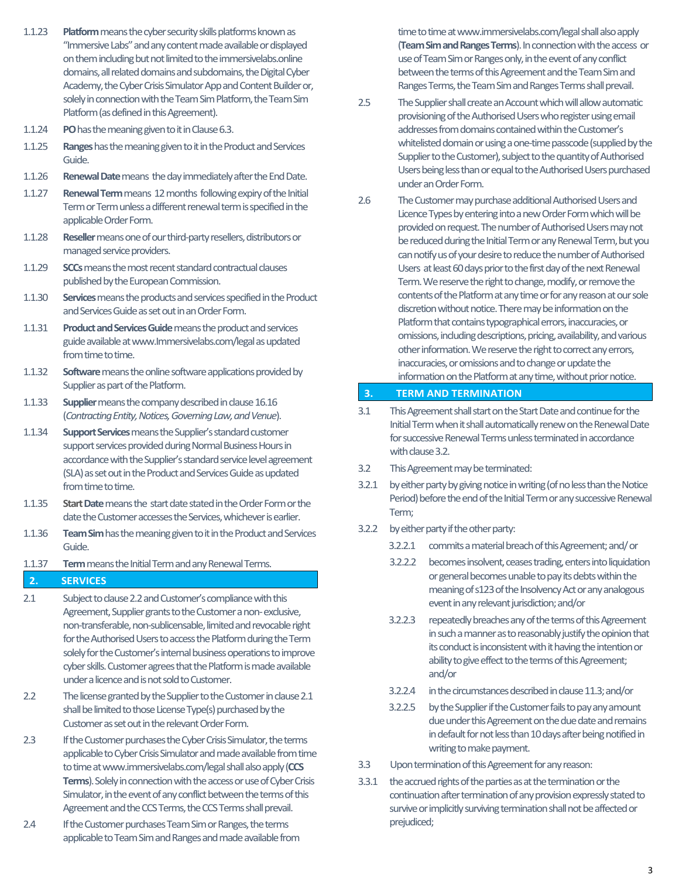- 1.1.23 **Platform**means the cyber security skills platforms known as "Immersive Labs" and any content made available or displayed on them including but not limited to the immersivelabs.online domains, all related domains and subdomains, the Digital Cyber Academy, the Cyber Crisis Simulator App and Content Builder or, solely in connection with the Team Sim Platform, the Team Sim Platform(as defined in this Agreement).
- 1.1.24 **PO**has the meaning given to it in Clause 6.3.
- 1.1.25 **Ranges**has the meaning given to it in the Product and Services Guide.
- 1.1.26 **Renewal Date** means the day immediately after the End Date.
- 1.1.27 **Renewal Term**means 12 months following expiry of the Initial Term or Term unless a different renewal term is specified in the applicable Order Form.
- 1.1.28 **Reseller** means one of our third-party resellers, distributors or managed service providers.
- 1.1.29 **SCCs**means the most recent standard contractual clauses published by the European Commission.
- 1.1.30 **Services**means the products and services specified in the Product and Services Guide as set out in an Order Form.
- 1.1.31 **Product and Services Guide**means the product and services guide available at www.Immersivelabs.com/legal as updated from time to time.
- 1.1.32 **Software**means the online software applications provided by Supplier as part of the Platform.
- 1.1.33 **Supplier** means the company described in clause 16.16 (*Contracting Entity, Notices, Governing Law, and Venue*).
- 1.1.34 **Support Services**means the Supplier's standard customer support services provided during Normal Business Hours in accordance with the Supplier's standard service level agreement (SLA) as set out in the Product and Services Guide as updated from time to time.
- 1.1.35 **Start Date**means the start date stated in the Order Form or the date the Customer accesses the Services, whichever is earlier.
- 1.1.36 **Team Sim**has the meaning given to it in the Product and Services Guide.
- 1.1.37 **Term**means the Initial Term and any Renewal Terms.

#### **2. SERVICES**

- 2.1 Subject to clause 2.2and Customer's compliance with this Agreement, Supplier grants to the Customer a non- exclusive, non-transferable, non-sublicensable, limited and revocableright for the Authorised Users to access the Platform during the Term solely for the Customer's internal business operations to improve cyber skills. Customer agrees that the Platform is made available under a licence and is not sold to Customer.
- 2.2 The license granted by the Supplier to the Customer in clause 2.1 shall be limited to those License Type(s) purchased by the Customer as set out in the relevant Order Form.
- 2.3 If the Customer purchases the Cyber Crisis Simulator, the terms applicable to Cyber Crisis Simulator and made available from time to time at www.immersivelabs.com/legalshallalso apply (**CCS Terms**). Solely in connection with the access or use of Cyber Crisis Simulator, in the event of any conflict between the terms of this Agreement and the CCS Terms, the CCS Terms shall prevail.
- 2.4 If the Customer purchases Team Sim or Ranges, the terms applicable to Team Sim and Ranges and made available from

time to time at www.immersivelabs.com/legal shall also apply (**Team Sim and Ranges Terms**). In connection with the access or use of Team Sim or Ranges only, in the event of any conflict between the terms of this Agreement and the Team Sim and Ranges Terms, the Team Sim and Ranges Terms shall prevail.

- 2.5 The Supplier shall create an Account which will allow automatic provisioning of the Authorised Users who register using email addresses from domains contained within the Customer's whitelisted domain or using a one-time passcode (supplied by the Supplier to the Customer), subject to the quantity of Authorised Users being less than or equal to the Authorised Users purchased under an Order Form.
- 2.6 The Customer may purchase additional Authorised Users and Licence Typesby entering into a new Order Form which will be provided on request. The number of Authorised Users may not be reduced during the Initial Termor any Renewal Term, but you can notify us of your desire to reduce the number of Authorised Users at least 60 days prior to the first day of the next Renewal Term. We reserve the right to change, modify, or remove the contents of the Platform at any time or for any reason at our sole discretion without notice. There may be information on the Platform that contains typographical errors, inaccuracies, or omissions, including descriptions, pricing, availability, and various other information. We reserve the right to correct any errors, inaccuracies, or omissions and to change or update the information on the Platform at any time, without prior notice.

#### **3. TERM AND TERMINATION**

- 3.1 This Agreement shall start on the Start Date and continue for the Initial Term when it shall automatically renew on the Renewal Date for successive Renewal Terms unless terminated in accordance with clause 3.2.
- 3.2 This Agreement may be terminated:
- 3.2.1 by either party by giving notice in writing (of no less than the Notice Period) before the end of the Initial Term or any successive Renewal Term;
- 3.2.2 by either party if the other party:
	- 3.2.2.1 commits a material breach of this Agreement; and/ or
	- 3.2.2.2 becomes insolvent, ceases trading, enters into liquidation or general becomes unable to pay its debts within the meaning of s123 of the Insolvency Act or any analogous event in any relevant jurisdiction; and/or
	- 3.2.2.3 repeatedly breaches any of the terms of this Agreement in such a manner as to reasonably justify the opinion that its conduct is inconsistent with it having the intention or ability to give effect to the terms of this Agreement; and/or
	- 3.2.2.4 in the circumstances described in clause 11.3; and/or
	- 3.2.2.5 by the Supplier if the Customer fails to pay any amount due under this Agreement on the due date and remains in default for not less than 10 days after being notified in writing to make payment.
- 3.3 Upon termination of this Agreement for any reason:
- 3.3.1 the accrued rights of the parties as at the termination or the continuation after termination of any provision expressly stated to survive or implicitly surviving termination shall not be affected or prejudiced;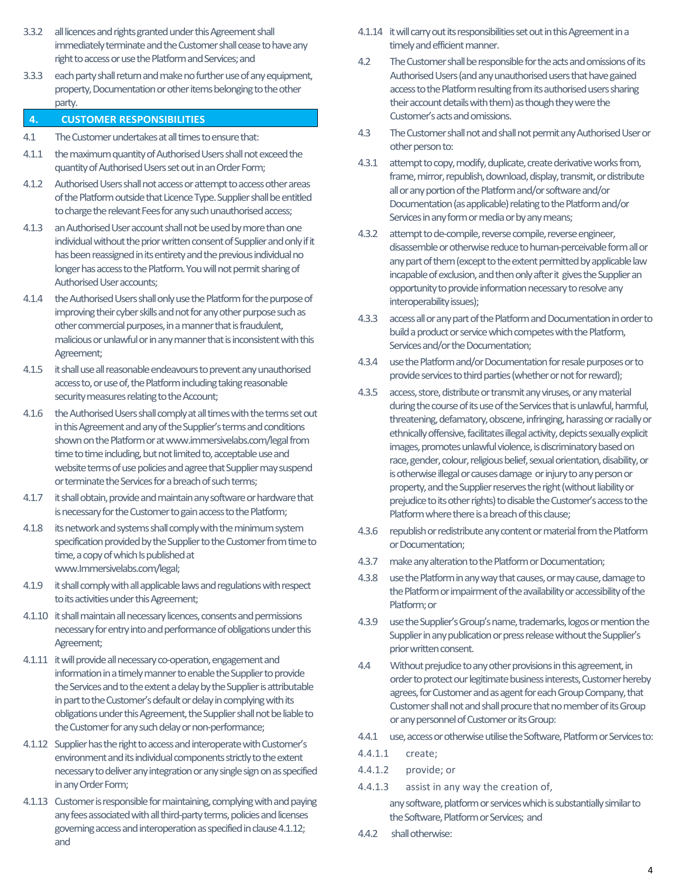- 3.3.2 all licences and rights granted under this Agreement shall immediately terminate and the Customer shall cease to have any right to access or use the Platform and Services;and
- 3.3.3 each party shall return and make no further use of any equipment, property, Documentation or other items belonging to the other party.
- **4. CUSTOMER RESPONSIBILITIES**
- 4.1 The Customer undertakes at all times to ensure that:
- 4.1.1 the maximum quantity of Authorised Users shall not exceed the quantityof Authorised Users set out in an Order Form;
- 4.1.2 Authorised Users shall not access or attempt to access other areas of the Platform outside that Licence Type. Supplier shall be entitled to charge the relevant Fees for any such unauthorised access;
- 4.1.3 an Authorised User account shall not be used by more than one individual without the prior written consent of Supplier and only if it has been reassigned in its entirety and the previous individual no longer has access to the Platform. You will not permit sharing of Authorised User accounts;
- 4.1.4 the Authorised Users shall only use the Platform for the purpose of improving their cyber skills and not for any other purpose such as other commercial purposes, in a manner that is fraudulent, malicious or unlawful or in any manner that is inconsistent with this Agreement;
- 4.1.5 it shall use all reasonable endeavours to prevent any unauthorised access to, or use of, the Platform including taking reasonable security measures relating to the Account;
- 4.1.6 the Authorised Users shall comply at all times with the terms set out in this Agreement and any of the Supplier's terms and conditions shown on the Platform or at www.immersivelabs.com/legal from time to time including, but not limited to, acceptable use and website terms of use policies and agree that Supplier may suspend or terminate the Services for a breach of such terms;
- 4.1.7 it shall obtain, provide and maintain any software or hardware that is necessary for the Customer to gain access to the Platform;
- 4.1.8 its network and systems shall comply with the minimum system specification provided by the Supplier to the Customer from time to time, a copy of which Is published at www.Immersivelabs.com/legal;
- 4.1.9 it shall comply with all applicable laws and regulations with respect to its activities under this Agreement;
- 4.1.10 it shall maintain all necessary licences, consents and permissions necessary for entry into and performance of obligations under this Agreement;
- 4.1.11 it will provide all necessary co-operation, engagement and information in a timely manner to enable the Supplier to provide the Services and to the extent a delay by the Supplier is attributable in part to the Customer's default or delay in complying with its obligations under this Agreement, the Suppliershall not be liable to the Customer for any such delay or non-performance;
- 4.1.12 Supplier has the right to access and interoperate with Customer's environment and its individual components strictly to the extent necessary to deliver any integration or any single sign on as specified in any Order Form;
- 4.1.13 Customer is responsible for maintaining, complying with and paying any fees associated with all third-party terms, policies and licenses governing access and interoperation as specified in clause 4.1.12; and
- 4.1.14 it will carry out its responsibilities set out in this Agreement in a timely and efficient manner.
- 4.2 The Customer shall be responsible for the acts and omissions of its Authorised Users (and any unauthorised users that have gained access to the Platform resulting from its authorised users sharing their account details with them) as though they were the Customer's acts and omissions.
- 4.3 The Customer shall not and shall not permit any Authorised User or other person to:
- 4.3.1 attempt to copy, modify, duplicate, create derivative works from, frame, mirror, republish, download, display, transmit, or distribute all or any portion of the Platform and/or software and/or Documentation (as applicable) relating to the Platform and/or Services in any form or media or by any means;
- 4.3.2 attempt to de-compile, reverse compile, reverse engineer, disassemble or otherwise reduce to human-perceivable form all or any part of them (except to the extent permitted by applicable law incapable of exclusion, and then only after it gives the Supplier an opportunity to provide information necessary to resolve any interoperability issues);
- 4.3.3 access all or any part of the Platform and Documentation in order to build a product or service which competes with the Platform, Services and/or the Documentation;
- 4.3.4 use the Platform and/or Documentation for resale purposes or to provide services to third parties (whether or not for reward);
- 4.3.5 access, store, distribute or transmit any viruses, or any material during the course of its use of the Services that is unlawful, harmful, threatening, defamatory, obscene, infringing, harassing or racially or ethnically offensive, facilitates illegal activity, depicts sexually explicit images, promotes unlawful violence, is discriminatory based on race, gender, colour, religious belief, sexual orientation, disability, or is otherwise illegal or causes damage or injury to any person or property, and the Supplier reserves the right (without liability or prejudice to its other rights) to disable the Customer's access to the Platform where there is a breach of this clause;
- 4.3.6 republish or redistribute any content or material from the Platform or Documentation;
- 4.3.7 make any alteration to the Platform or Documentation;
- 4.3.8 use the Platform in any way that causes, or may cause, damage to the Platform or impairment of the availability or accessibility of the Platform; or
- 4.3.9 use the Supplier's Group's name, trademarks, logos or mention the Supplier in any publication or press release without the Supplier's prior written consent.
- 4.4 Without prejudice to any other provisions in this agreement, in order to protect our legitimate business interests, Customer hereby agrees, for Customer and as agent for each Group Company, that Customer shall not and shall procure that no member of its Group or any personnel of Customer or its Group:
- 4.4.1 use, access or otherwise utilise the Software, Platform or Services to:
- 4.4.1.1 create;
- 4.4.1.2 provide; or
- 4.4.1.3 assist in any way the creation of,
	- any software, platform or services which is substantially similar to the Software, Platform or Services; and
- 4.4.2 shall otherwise: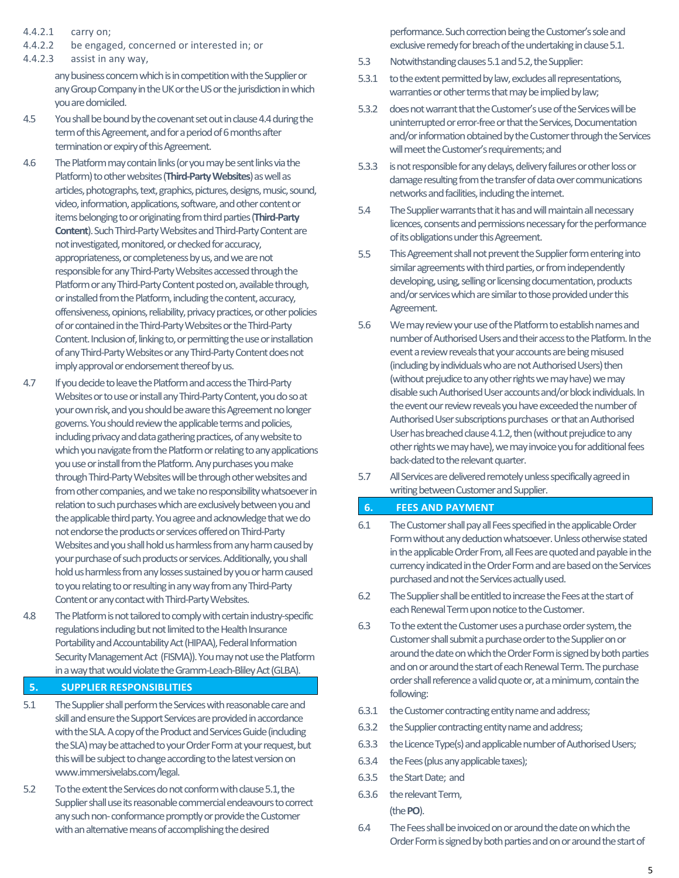- 4.4.2.1 carry on;
- 4.4.2.2 be engaged, concerned or interested in; or
- 4.4.2.3 assist in any way,

any business concern which is in competition with the Supplier or any Group Company in the UK or the US or the jurisdiction in which you are domiciled.

- 4.5 You shall be bound by the covenant set out in clause 4.4 during the term of this Agreement, and for a period of 6 months after termination or expiry of this Agreement.
- 4.6 The Platform may contain links (or you may be sent links via the Platform) to other websites (**Third-Party Websites**) as well as articles, photographs, text, graphics, pictures, designs, music, sound, video, information, applications, software, and other content or items belonging to or originating from third parties (**Third-Party Content**). Such Third-Party Websites and Third-Party Content are not investigated, monitored, or checked for accuracy, appropriateness, or completeness by us, and we are not responsible for any Third-Party Websites accessed through the Platform or any Third-Party Content posted on, available through, or installed from the Platform, including the content, accuracy, offensiveness, opinions, reliability, privacy practices, or other policies of or contained in the Third-Party Websites or the Third-Party Content. Inclusion of, linking to, or permitting the use or installation of any Third-Party Websites or any Third-Party Content does not imply approval or endorsement thereof by us.
- 4.7 If you decide to leave the Platform and access the Third-Party Websites or to use or install any Third-Party Content, you do so at your own risk, and you should be aware this Agreement no longer governs. You should review the applicable terms and policies, including privacy and data gathering practices, of any website to which you navigate from the Platform or relating to any applications you use or install from the Platform. Any purchases you make through Third-Party Websites will be through other websites and from other companies, and we take no responsibility whatsoever in relation to such purchases which are exclusively between you and the applicable third party. You agree and acknowledge that we do not endorse the products or services offered on Third-Party Websites and you shall hold us harmless from any harm caused by your purchase of such products or services. Additionally, you shall hold us harmless from any losses sustained by you or harm caused to you relating to or resulting in any way from any Third-Party Content or any contact with Third-Party Websites.
- 4.8 The Platform is not tailored to comply with certain industry-specific regulations including but not limited to the Health Insurance Portability and Accountability Act (HIPAA), Federal Information Security Management Act (FISMA)). Youmay not use the Platform in a way that would violate the Gramm-Leach-Bliley Act (GLBA).
- **5. SUPPLIER RESPONSIBLITIES**
- 5.1 The Supplier shall perform the Services with reasonable care and skill and ensure the Support Services are provided in accordance with the SLA. A copy of the Product and Services Guide (including the SLA) may be attached to your Order Form at your request, but this will be subject to change according to the latest version on www.immersivelabs.com/legal.
- 5.2 To the extent the Services do not conform with clause 5.1, the Supplier shall use its reasonable commercial endeavours to correct any such non- conformance promptly or provide the Customer with an alternative means of accomplishing the desired

performance. Such correction being the Customer's sole and exclusive remedy for breach of the undertaking in clause 5.1.

- 5.3 Notwithstanding clauses 5.1 and 5.2, the Supplier:
- 5.3.1 to the extent permitted by law, excludes all representations, warranties or other terms that may be implied by law;
- 5.3.2 does not warrant that the Customer's use of the Services will be uninterrupted or error-free or that the Services, Documentation and/or information obtained by the Customer through the Services will meet the Customer's requirements; and
- 5.3.3 is not responsible for any delays, delivery failures or other loss or damage resulting from the transfer of data over communications networks and facilities, including the internet.
- 5.4 The Supplier warrants that it has and will maintain all necessary licences, consents and permissions necessary for the performance of its obligations under this Agreement.
- 5.5 This Agreement shall not prevent the Supplier form entering into similar agreements with third parties, or from independently developing, using, selling or licensing documentation, products and/or services which are similar to those provided under this Agreement.
- 5.6 We may reviewyour use of the Platform to establish names and number of Authorised Usersand their access to the Platform. In the event a review reveals that your accounts are being misused (including by individuals who are not Authorised Users) then (without prejudice to any other rights we may have) we may disable such Authorised User accounts and/or block individuals. In the event our review reveals you have exceeded the number of Authorised User subscriptions purchases or that an Authorised User has breached clause 4.1.2, then (without prejudice to any other rights we may have), we may invoice you for additional fees back-dated to the relevant quarter.
- 5.7 All Services are delivered remotely unless specifically agreed in writing between Customer and Supplier.

#### **6. FEES AND PAYMENT**

- 6.1 The Customer shall pay all Fees specified in the applicable Order Formwithout any deduction whatsoever. Unless otherwise stated in the applicable Order From, all Fees are quoted and payable in the currency indicated in the Order Form and are based on the Services purchased and not the Services actually used.
- 6.2 The Supplier shall be entitled to increase the Fees at the start of each Renewal Term upon notice to the Customer.
- 6.3 To the extent the Customer uses a purchase order system, the Customer shall submit a purchase order to the Supplier on or around the date on which the Order Form is signed by both parties and on or around the start of each Renewal Term. The purchase order shall reference a valid quote or, at a minimum, contain the following:
- 6.3.1 the Customer contracting entity name and address;
- 6.3.2 the Supplier contracting entity name and address;
- 6.3.3 the Licence Type(s) and applicable number of Authorised Users;
- 6.3.4 the Fees (plus any applicable taxes);
- 6.3.5 the Start Date; and
- 6.3.6 the relevant Term, (the **PO**).
- 6.4 The Fees shall be invoiced on or around the date on which the Order Form is signed by both parties and on or around the start of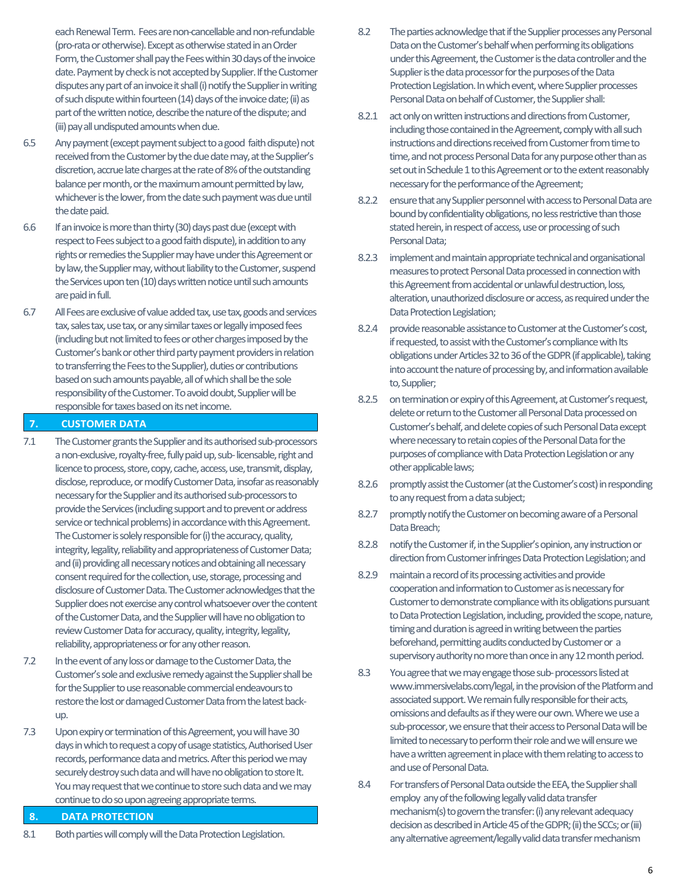each Renewal Term. Fees are non-cancellable and non-refundable (pro-rata or otherwise). Except as otherwise stated in an Order Form, the Customer shall pay the Fees within 30 days of the invoice date. Payment by check is not accepted by Supplier. If the Customer disputes any part of an invoice it shall (i) notify the Supplier in writing of such dispute within fourteen (14) days of the invoice date;(ii) as part of the written notice, describe the nature of the dispute; and (iii) pay all undisputed amounts when due.

- 6.5 Any payment (except payment subject to a good faith dispute) not received from the Customer by the due date may, at the Supplier's discretion, accrue late charges at the rate of 8% of the outstanding balance per month, or the maximum amount permitted by law, whichever is the lower, from the date such payment was due until the date paid.
- 6.6 If an invoice is more than thirty (30) days past due (except with respect to Fees subject to a good faith dispute), in addition to any rights or remedies the Supplier may have under this Agreement or by law, the Supplier may, without liability to the Customer, suspend the Services upon ten (10) days written notice until such amounts are paid in full.
- 6.7 All Fees are exclusive of value added tax, use tax, goods and services tax, sales tax, use tax, or any similar taxes or legally imposed fees (including but not limited to fees or other charges imposed by the Customer's bank or other third party payment providers in relation to transferring the Fees to the Supplier), duties or contributions based on such amounts payable, all of which shall be the sole responsibility of the Customer. To avoid doubt, Supplier will be responsible for taxes based on its net income.

#### **7. CUSTOMER DATA**

- 7.1 The Customer grants the Supplier and its authorised sub-processors a non-exclusive, royalty-free, fully paid up, sub- licensable, right and licence to process, store, copy, cache, access, use, transmit, display, disclose, reproduce, or modify Customer Data, insofar as reasonably necessary for the Supplier and its authorised sub-processors to provide the Services (including support and to prevent or address service or technical problems) in accordance with this Agreement. The Customer is solely responsible for (i) the accuracy, quality, integrity, legality, reliability and appropriateness of Customer Data; and (ii) providing all necessary notices and obtaining all necessary consent required for the collection, use, storage, processing and disclosure of Customer Data. The Customer acknowledges that the Supplier does not exercise any control whatsoever over the content of the Customer Data, and the Supplierwill have no obligation to review Customer Data for accuracy, quality, integrity, legality, reliability, appropriateness or for any other reason.
- 7.2 In the event of any loss or damage to the Customer Data, the Customer's sole and exclusive remedy against the Supplier shall be for the Supplier to use reasonable commercial endeavours to restore the lost or damaged Customer Data from the latest backup.
- 7.3 Upon expiry or termination of this Agreement, you will have 30 days inwhich to request a copy of usage statistics, Authorised User records, performance data and metrics. After this period we may securely destroy such data and will have no obligation to store It. You may request that we continue to store such data and we may continue to do so upon agreeing appropriate terms.

#### **8. DATA PROTECTION**

8.1 Both parties will comply will the Data Protection Legislation.

- 8.2 The parties acknowledge that if the Supplier processes any Personal Data on the Customer's behalf when performing its obligations under this Agreement, the Customer is the data controller and the Supplier is the data processor for the purposes of the Data Protection Legislation. In which event, where Supplier processes Personal Data on behalf of Customer, the Supplier shall:
- 8.2.1 act only on written instructions and directions from Customer, including those contained in the Agreement, comply with all such instructions and directions received from Customer from timeto time, and not process Personal Data for any purpose other than as set out in Schedule 1 to this Agreement or to the extent reasonably necessary for the performance of the Agreement;
- 8.2.2 ensure that any Supplier personnel with access to Personal Data are bound by confidentiality obligations, no less restrictive than those stated herein, in respect of access, use or processing of such Personal Data;
- 8.2.3 implement and maintain appropriate technical and organisational measuresto protect Personal Data processed in connection with this Agreement from accidental or unlawful destruction, loss, alteration, unauthorized disclosure or access, as required under the Data Protection Legislation;
- 8.2.4 provide reasonable assistance to Customer at the Customer's cost, if requested, to assist with the Customer's compliance with Its obligations under Articles 32 to 36 of the GDPR (if applicable), taking into account the nature of processing by, and information available to, Supplier;
- 8.2.5 on termination or expiry of this Agreement, at Customer's request, delete or return to the Customer all Personal Data processed on Customer's behalf, and delete copies of such Personal Data except where necessary to retain copies of the Personal Data forthe purposes of compliance with Data Protection Legislation or any other applicable laws;
- 8.2.6 promptly assist the Customer (at the Customer's cost) in responding to any request from a data subject;
- 8.2.7 promptly notify the Customer on becoming aware of a Personal Data Breach;
- 8.2.8 notify the Customer if, in the Supplier's opinion, any instruction or direction from Customer infringes Data Protection Legislation; and
- 8.2.9 maintain a record of its processing activities and provide cooperation and information to Customer as is necessary for Customer to demonstrate compliance with its obligations pursuant to Data Protection Legislation, including, provided the scope, nature, timing and duration is agreed in writing between the parties beforehand, permitting audits conducted by Customer or a supervisory authority no more than once in any 12 month period.
- 8.3 You agree that we may engage those sub- processors listed at www.immersivelabs.com/legal, in the provision of the Platform and associated support. We remain fully responsible for their acts, omissions and defaults as if they were our own. Where we use a sub-processor, we ensure that their access to Personal Data will be limited to necessary to perform their role and we will ensure we have a written agreement in place with them relating to access to and use of Personal Data.
- 8.4 For transfers of Personal Data outside the EEA, the Supplier shall employ any of the following legally valid data transfer mechanism(s) to govern the transfer: (i) any relevant adequacy decision as described in Article 45 of the GDPR;(ii) the SCCs; or (iii) any alternative agreement/legally valid data transfer mechanism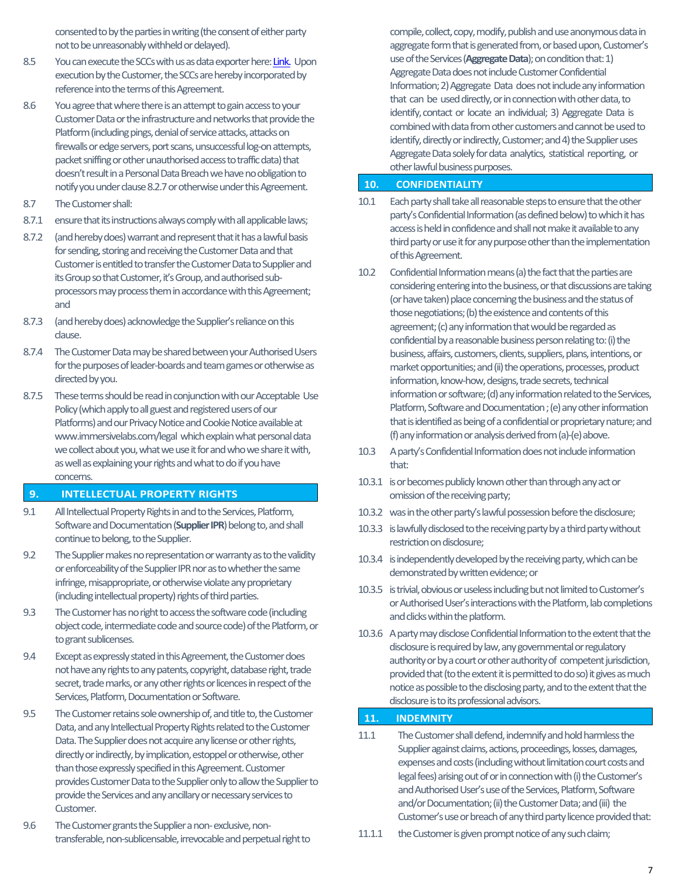consented to by the parties in writing (the consent of either party not to be unreasonably withheld or delayed).

- 8.5 You can execute the SCCs with us as data exporter here[: Link.](https://cms.immersivelabs.com/content/uploads/2021/01/immersive-labsprivacy-and-data-protectiondecember-2020.pdf) Upon execution by the Customer, the SCCs are hereby incorporated by reference into the terms of this Agreement.
- 8.6 You agree that where there is an attempt to gain access to your Customer Data or the infrastructure and networks that provide the Platform (including pings, denial of service attacks, attacks on firewalls or edge servers, port scans, unsuccessful log-on attempts, packet sniffing or other unauthorised access to traffic data) that doesn't result in a Personal Data Breach we have no obligation to notify you under clause 8.2.7or otherwise under this Agreement.
- 8.7 The Customer shall:
- 8.7.1 ensure that its instructions always comply with all applicable laws;
- 8.7.2 (and hereby does) warrant and represent that it has a lawful basis for sending, storing and receiving the Customer Data and that Customer is entitled to transfer the Customer Data to Supplier and its Group so that Customer, it's Group, and authorised subprocessors may process them in accordance with this Agreement; and
- 8.7.3 (and hereby does) acknowledge the Supplier's reliance on this clause.
- 8.7.4 The Customer Data may be shared between your Authorised Users for the purposes of leader-boards and team games or otherwise as directed by you.
- 8.7.5 These terms should be read in conjunction with our Acceptable Use Policy (which apply to all guest and registered users of our Platforms) and our Privacy Notice and Cookie Notice available at www.immersivelabs.com/legal which explain what personal data we collect about you, what we use it for and who we share it with, as well as explaining your rights and what to do if you have concerns.

#### **9. INTELLECTUAL PROPERTY RIGHTS**

- 9.1 All Intellectual Property Rights in and to the Services, Platform, Software and Documentation (**Supplier IPR**) belong to, and shall continue to belong, to the Supplier.
- 9.2 The Supplier makes no representation or warranty as to the validity or enforceability of the Supplier IPR nor as to whether the same infringe, misappropriate, or otherwise violate any proprietary (including intellectual property) rights of third parties.
- 9.3 The Customer has no right to access the software code (including object code, intermediate code and source code) of the Platform, or to grant sublicenses.
- 9.4 Except as expressly stated in this Agreement, the Customer does not have any rights to any patents, copyright, database right, trade secret, trade marks, or any other rights or licences in respect of the Services, Platform, Documentation or Software.
- 9.5 The Customer retains sole ownership of, and title to, the Customer Data, and any Intellectual Property Rights related to the Customer Data. The Supplier does not acquire any license or other rights, directly or indirectly, by implication, estoppel or otherwise, other than those expressly specified in this Agreement. Customer provides Customer Data to the Supplier only to allow the Supplier to provide the Services and any ancillary or necessary services to Customer.
- 9.6 The Customer grants the Supplier a non- exclusive, nontransferable, non-sublicensable, irrevocable and perpetual right to

compile, collect, copy, modify, publish and use anonymous data in aggregate form that is generated from, or based upon, Customer's use of the Services (**Aggregate Data**); on condition that: 1) Aggregate Data does not include Customer Confidential Information; 2) Aggregate Data does not include any information that can be used directly, or in connection with other data, to identify, contact or locate an individual; 3) Aggregate Data is combined with data from other customers and cannot be used to identify, directly or indirectly, Customer; and 4) the Supplier uses Aggregate Data solely for data analytics, statistical reporting, or other lawful business purposes.

#### **10. CONFIDENTIALITY**

- 10.1 Each party shall take all reasonable steps to ensure that the other party's Confidential Information(as defined below) to which it has access is held in confidence and shall not make it available to any third party or use it for any purpose other than the implementation of this Agreement.
- 10.2 Confidential Information means (a) the fact that the parties are considering entering into the business, or that discussions are taking (or have taken) place concerning the business and the status of those negotiations; (b) the existence and contents of this agreement; (c) any information that would be regarded as confidential by a reasonable business person relating to: (i) the business, affairs, customers, clients, suppliers, plans, intentions, or market opportunities; and (ii) the operations, processes, product information, know-how, designs, trade secrets, technical information or software; (d) any information related to the Services, Platform, Software and Documentation ; (e) any other information that is identified as being of a confidential or proprietary nature; and (f) any information or analysis derived from (a)-(e) above.
- 10.3 A party's Confidential Information does not include information that:
- 10.3.1 is or becomes publicly known other than through any act or omission of the receiving party;
- 10.3.2 was inthe other party's lawful possession before the disclosure;
- 10.3.3 is lawfully disclosed to the receiving party by a third party without restriction on disclosure;
- 10.3.4 is independently developed by the receiving party, which can be demonstrated by written evidence; or
- 10.3.5 is trivial, obvious or uselessincluding but not limited to Customer's or Authorised User's interactions with the Platform, lab completions and clicks within the platform.
- 10.3.6 A party may disclose Confidential Information to the extent that the disclosure is required by law, any governmental or regulatory authority or by a court or other authority of competent jurisdiction, provided that (to the extent it is permitted to do so) it gives as much notice as possible to the disclosing party, and to the extent that the disclosure is to its professional advisors.

#### **11. INDEMNITY**

- 11.1 The Customer shall defend, indemnify and hold harmless the Supplier against claims, actions, proceedings, losses, damages, expenses and costs (including without limitation court costs and legal fees) arising out of or in connection with (i) the Customer's and Authorised User's use of the Services, Platform, Software and/or Documentation; (ii) the Customer Data; and (iii) the Customer's use or breach of any third party licence provided that:
- 11.1.1 the Customer is given prompt notice of any such claim;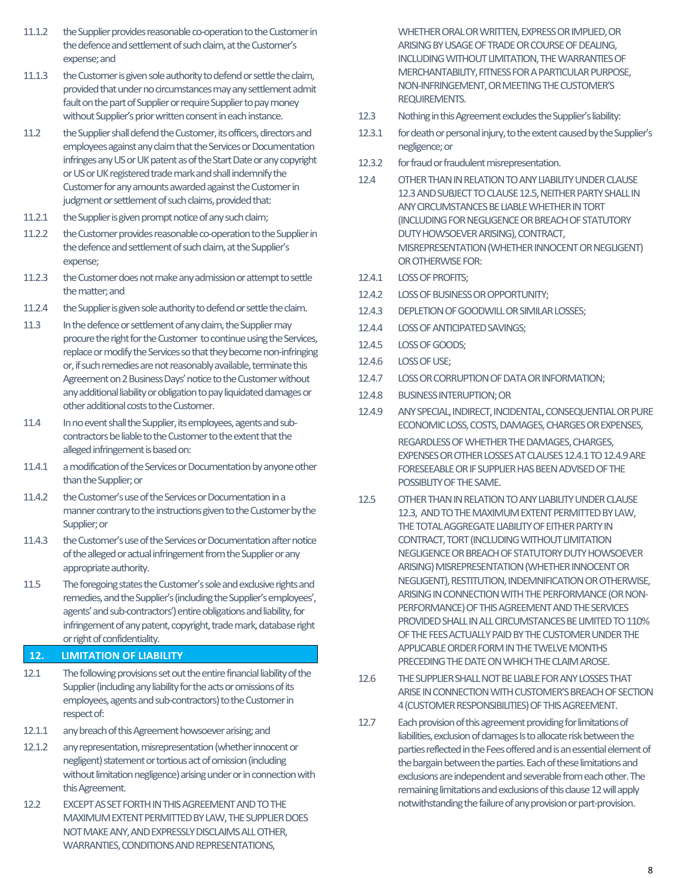- 11.1.2 the Supplier provides reasonable co-operation to the Customer in the defence and settlement of such claim, at the Customer's expense; and
- 11.1.3 the Customer is given sole authority to defend or settle the claim, provided that under no circumstances may any settlement admit fault on the part of Supplier or require Supplier to pay money without Supplier's prior written consent in each instance.
- 11.2 the Supplier shall defend the Customer, its officers, directors and employees against any claim that the Services or Documentation infringes any US or UK patent as of the Start Date or any copyright or US or UK registered trade mark and shall indemnify the Customer for any amounts awarded against the Customer in judgment or settlement of such claims, provided that:
- 11.2.1 the Supplier is given prompt notice of any such claim;
- 11.2.2 the Customer provides reasonable co-operation to the Supplier in the defence and settlement of such claim, at the Supplier's expense;
- 11.2.3 the Customer does not make any admission or attempt to settle the matter; and
- 11.2.4 the Supplier is given sole authority to defend or settle the claim.
- 11.3 In the defence or settlement of any claim, the Supplier may procure the right for the Customer to continue using the Services, replace or modify the Services so that they become non-infringing or, if such remedies are not reasonably available, terminate this Agreement on 2 Business Days' notice to the Customer without any additional liability or obligation to pay liquidated damages or other additional costs to the Customer.
- 11.4 In no event shall the Supplier, its employees, agents and subcontractors be liable to the Customer to the extent that the alleged infringement is based on:
- 11.4.1 a modification of the Services or Documentation by anyone other than the Supplier; or
- 11.4.2 the Customer's use of the Services or Documentation in a manner contrary to the instructions given to the Customer by the Supplier; or
- 11.4.3 the Customer's use of the Services or Documentation after notice of the alleged or actual infringement from the Supplier or any appropriate authority.
- 11.5 The foregoing states the Customer's sole and exclusive rights and remedies, and the Supplier's (including the Supplier's employees', agents' and sub-contractors') entire obligations and liability, for infringement of any patent, copyright, trade mark, database right or right of confidentiality.

#### **12. LIMITATION OF LIABILITY**

- 12.1 The following provisions set out the entire financial liability of the Supplier (including any liability for the acts or omissions of its employees, agents and sub-contractors) to the Customer in respect of:
- 12.1.1 any breach of this Agreement howsoever arising; and
- 12.1.2 any representation, misrepresentation (whether innocent or negligent) statement or tortious act of omission (including without limitation negligence) arising under or in connection with this Agreement.
- 12.2 EXCEPT AS SET FORTH IN THIS AGREEMENT AND TO THE MAXIMUM EXTENT PERMITTED BY LAW, THE SUPPLIER DOES NOT MAKE ANY, AND EXPRESSLY DISCLAIMS ALL OTHER, WARRANTIES, CONDITIONS AND REPRESENTATIONS,

WHETHER ORAL OR WRITTEN, EXPRESS OR IMPLIED, OR ARISING BY USAGE OF TRADE OR COURSE OF DEALING, INCLUDING WITHOUT LIMITATION, THE WARRANTIES OF MERCHANTABILITY, FITNESS FOR A PARTICULAR PURPOSE, NON-INFRINGEMENT,OR MEETING THE CUSTOMER'S REQUIREMENTS.

- 12.3 Nothing in this Agreement excludes the Supplier's liability:
- 12.3.1 for death or personal injury, to the extent caused by the Supplier's negligence; or
- 12.3.2 for fraud or fraudulent misrepresentation.
- 12.4 OTHER THAN IN RELATION TO ANY LIABILITY UNDER CLAUSE 12.3 AND SUBJECT TO CLAUSE 12.5, NEITHER PARTY SHALL IN ANY CIRCUMSTANCES BE LIABLE WHETHER IN TORT (INCLUDING FOR NEGLIGENCE OR BREACH OF STATUTORY DUTY HOWSOEVER ARISING), CONTRACT, MISREPRESENTATION (WHETHER INNOCENT OR NEGLIGENT) OR OTHERWISE FOR:
- 12.4.1 LOSS OF PROFITS;
- 12.4.2 LOSS OF BUSINESSOR OPPORTUNITY;
- 12.4.3 DEPLETION OF GOODWILL OR SIMILAR LOSSES;
- 12.4.4 LOSS OF ANTICIPATED SAVINGS;
- 12.4.5 LOSS OF GOODS;
- 12.4.6 LOSS OF USE;
- 12.4.7 LOSS OR CORRUPTION OF DATA OR INFORMATION;
- 12.4.8 BUSINESS INTERUPTION; OR
- 12.4.9 ANY SPECIAL, INDIRECT, INCIDENTAL, CONSEQUENTIAL OR PURE ECONOMIC LOSS, COSTS, DAMAGES, CHARGES OR EXPENSES, REGARDLESS OF WHETHER THE DAMAGES, CHARGES, EXPENSES OR OTHER LOSSES AT CLAUSES 12.4.1 TO 12.4.9 ARE FORESEEABLE OR IF SUPPLIER HAS BEEN ADVISED OF THE POSSIBLITY OF THE SAME.
- 12.5 OTHER THAN IN RELATION TO ANY LIABILITY UNDER CLAUSE 12.3, AND TO THE MAXIMUM EXTENT PERMITTED BY LAW, THE TOTAL AGGREGATE LIABILITY OF EITHER PARTY IN CONTRACT, TORT (INCLUDING WITHOUT LIMITATION NEGLIGENCE OR BREACH OF STATUTORY DUTY HOWSOEVER ARISING) MISREPRESENTATION (WHETHER INNOCENT OR NEGLIGENT), RESTITUTION, INDEMNIFICATION OR OTHERWISE, ARISING IN CONNECTION WITH THE PERFORMANCE (OR NON-PERFORMANCE) OF THIS AGREEMENT AND THE SERVICES PROVIDED SHALL IN ALL CIRCUMSTANCES BE LIMITED TO 110% OF THE FEES ACTUALLY PAID BY THE CUSTOMER UNDER THE APPLICABLE ORDER FORM IN THE TWELVE MONTHS PRECEDING THE DATE ON WHICH THE CLAIM AROSE.
- 12.6 THE SUPPLIER SHALL NOT BE LIABLE FOR ANY LOSSES THAT ARISE IN CONNECTION WITH CUSTOMER'S BREACH OF SECTION 4 (CUSTOMER RESPONSIBILITIES) OF THIS AGREEMENT.
- 12.7 Each provision of this agreement providing for limitations of liabilities, exclusion of damages Is to allocate risk between the parties reflected in the Fees offered and is an essential element of the bargain between the parties. Each of these limitations and exclusions are independent and severable from each other. The remaining limitations and exclusions of this clause 12 will apply notwithstanding the failure of any provision or part-provision.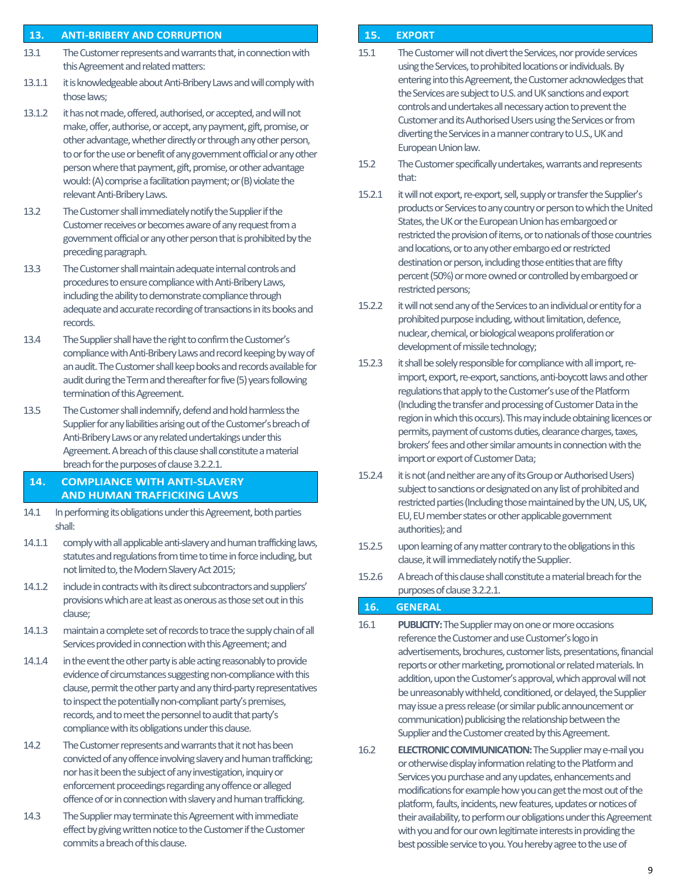#### **13. ANTI-BRIBERY AND CORRUPTION**

- 13.1 The Customer represents and warrants that, in connection with this Agreement and related matters:
- 13.1.1 it is knowledgeable about Anti-Bribery Laws and will comply with those laws;
- 13.1.2 it has not made, offered, authorised, or accepted, and will not make, offer, authorise, or accept, any payment, gift, promise, or other advantage, whether directly or through any other person, to or for the use or benefit of any government official or any other person where that payment, gift, promise, or other advantage would: (A) comprise a facilitation payment; or (B) violate the relevant Anti-Bribery Laws.
- 13.2 The Customer shall immediately notify the Supplier if the Customer receives or becomes aware of any request from a government official or any other person that is prohibited by the preceding paragraph.
- 13.3 The Customer shall maintain adequate internal controls and procedures to ensure compliance with Anti-Bribery Laws, including the ability to demonstrate compliance through adequate and accurate recording of transactions in its books and records.
- 13.4 The Supplier shall have the right to confirm the Customer's compliance with Anti-Bribery Laws and record keeping by way of an audit. The Customer shall keep books and records available for audit during the Term and thereafter for five (5) years following termination of this Agreement.
- 13.5 The Customer shall indemnify, defend and hold harmless the Supplier for any liabilities arising out of the Customer's breach of Anti-Bribery Laws or any related undertakings under this Agreement. A breach of this clause shall constitute a material breach for the purposes of clause 3.2.2.1.

#### **14. COMPLIANCE WITH ANTI-SLAVERY AND HUMAN TRAFFICKING LAWS**

- 14.1 In performing its obligations under this Agreement, both parties shall:
- 14.1.1 comply with all applicable anti-slavery and human trafficking laws, statutes and regulations from time to time in force including, but not limited to, the Modern Slavery Act 2015;
- 14.1.2 include in contracts with its direct subcontractors and suppliers' provisionswhich are at least as onerous as those set out in this clause;
- 14.1.3 maintain a complete set of records to trace the supply chain of all Services provided in connection with this Agreement; and
- 14.1.4 in the event the other party is able acting reasonably to provide evidence of circumstances suggesting non-compliance with this clause, permit the other party and any third-party representatives to inspect the potentially non-compliant party's premises, records, and to meet the personnel to audit that party's compliance with its obligations under this clause.
- 14.2 The Customer represents and warrants that it not has been convicted of any offence involving slavery and human trafficking; nor has it been the subject of any investigation, inquiry or enforcement proceedings regarding any offence or alleged offence of or in connection with slavery and human trafficking.
- 14.3 The Supplier may terminate this Agreement with immediate effect by giving written notice to the Customer if the Customer commits a breach of this clause.

#### **15. EXPORT**

- 15.1 The Customer will not divert the Services, nor provide services using the Services, to prohibited locations or individuals. By entering into this Agreement, the Customer acknowledges that the Services are subject to U.S. and UK sanctions and export controls and undertakes all necessary action to prevent the Customer and its Authorised Users using the Services or from diverting the Services in a manner contrary to U.S., UK and European Union law.
- 15.2 The Customer specifically undertakes, warrants and represents that:
- 15.2.1 it will not export, re-export, sell, supply or transfer the Supplier's products or Services to any country or person to which the United States, the UK or the European Union has embargoed or restricted the provision of items, or to nationals of those countries and locations, or to any other embargo ed or restricted destination or person, including those entities that are fifty percent (50%) or more owned or controlled by embargoed or restricted persons;
- 15.2.2 it will not send any of the Services to an individual or entity for a prohibited purpose including, without limitation, defence, nuclear, chemical, or biological weapons proliferation or development of missile technology;
- 15.2.3 it shall be solely responsible for compliance with all import, reimport, export, re-export, sanctions, anti-boycott laws and other regulations that apply to the Customer's use of the Platform (Including the transfer and processing of Customer Data in the region in which this occurs). This may include obtaining licences or permits, payment of customs duties, clearance charges, taxes, brokers' fees and other similar amounts in connection with the import or export of Customer Data;
- 15.2.4 it is not (and neither are any of its Group or Authorised Users) subject to sanctions or designated on any list of prohibited and restricted parties (Including those maintained by the UN, US, UK, EU, EU member states or other applicable government authorities); and
- 15.2.5 upon learning of any matter contrary to the obligations in this clause, it will immediately notify the Supplier.
- 15.2.6 A breach of this clause shall constitute a material breach for the purposes of clause 3.2.2.1.

#### **16. GENERAL**

- 16.1 **PUBLICITY:**The Supplier may on one or more occasions reference the Customer and use Customer's logo in advertisements, brochures, customer lists, presentations, financial reports or other marketing, promotional or related materials. In addition, upon the Customer's approval, which approval will not be unreasonably withheld, conditioned, or delayed, the Supplier may issue a press release (or similar public announcement or communication) publicising the relationship between the Supplier and the Customer created by this Agreement.
- 16.2 **ELECTRONIC COMMUNICATION:**The Supplier may e-mail you or otherwise display information relating to the Platform and Services you purchase and any updates, enhancements and modifications for example how you can get the most out of the platform, faults, incidents, new features, updates or notices of their availability, to perform our obligations under this Agreement with you and for our own legitimate interests in providing the best possible service to you. You hereby agree to the use of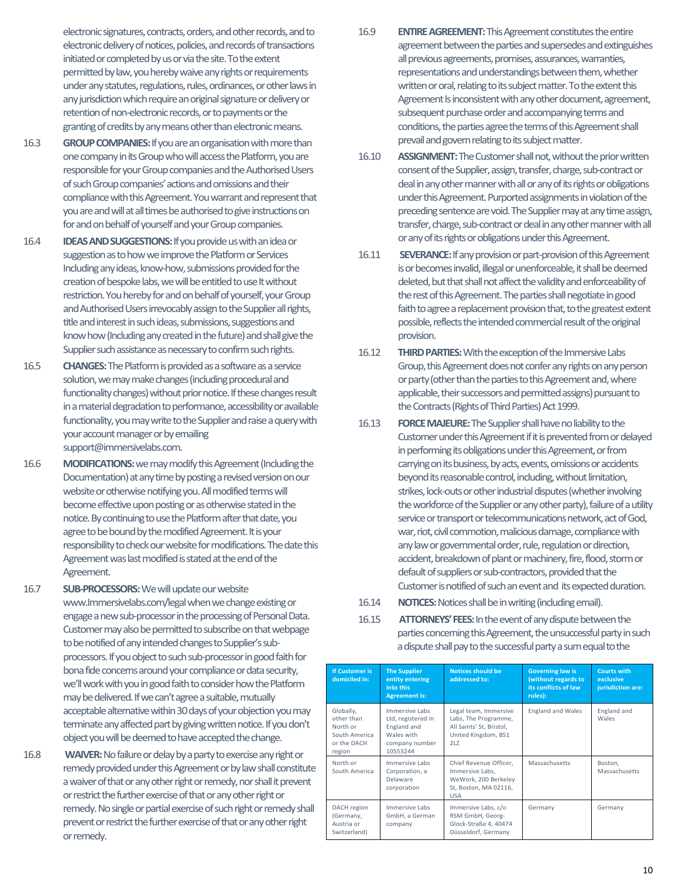electronic signatures, contracts, orders, and other records, and to electronic delivery of notices, policies, and records of transactions initiated or completed by us or via the site. To the extent permitted by law, you hereby waive any rights or requirements under any statutes, regulations, rules, ordinances, or other laws in any jurisdiction which require an original signature or delivery or retention of non-electronic records, or to payments or the granting of credits by any means other than electronic means.

- 16.3 **GROUP COMPANIES:**If you are an organisation with more than one company in its Group who will access the Platform, you are responsible for your Group companies and the Authorised Users of such Group companies' actions and omissions and their compliance with this Agreement. You warrant and represent that you are and will at all times be authorised to give instructions on for and on behalf of yourself and your Group companies.
- 16.4 **IDEAS AND SUGGESTIONS:**If you provide us with an idea or suggestion as to how we improve the Platform or Services Includinganyideas, know-how, submissions provided for the creation of bespoke labs, we will be entitled to use It without restriction. You hereby for and on behalf of yourself, your Group and Authorised Users irrevocably assign to the Supplier all rights, title and interest in such ideas, submissions, suggestions and know how (Including any created in the future) and shall give the Supplier such assistance as necessary to confirm such rights.
- 16.5 **CHANGES:**The Platform is provided as a software as a service solution, we may make changes (including procedural and functionality changes) without prior notice. If these changes result in a material degradation to performance, accessibility or available functionality, you may write to the Supplier and raise a query with your account manager or by emailing support@immersivelabs.com.
- 16.6 **MODIFICATIONS:**we may modify this Agreement (Including the Documentation) at any time by posting a revised version on our website or otherwise notifying you. All modified terms will become effective upon posting or as otherwise stated in the notice. By continuing to use the Platform after that date, you agree to be bound by the modified Agreement. It is your responsibility to check our website for modifications. The date this Agreement was last modified is stated at the end of the Agreement.
- 16.7 **SUB-PROCESSORS:**We will update our website www.Immersivelabs.com/legal when we change existing or engage a new sub-processor in the processing of Personal Data. Customer may also be permitted to subscribe on that webpage to be notified of any intended changes to Supplier's subprocessors. If you object to such sub-processor in good faith for bona fide concerns around your compliance or data security, we'll work with you in good faith to consider how the Platform may be delivered. If we can't agree a suitable, mutually acceptable alternative within 30 days of your objection you may terminate any affected part by giving written notice. If you don't object you will be deemed to have accepted the change.
- 16.8 **WAIVER:**No failure or delay by a party to exercise any right or remedy provided under this Agreement or by law shall constitute a waiver of that or any other right or remedy, nor shall it prevent or restrict the further exercise of that or any other right or remedy. No single or partial exercise of such right or remedy shall prevent or restrict the further exercise of that or any other right or remedy.
- 16.9 **ENTIRE AGREEMENT:**This Agreement constitutes the entire agreement between the parties and supersedes and extinguishes all previous agreements, promises, assurances, warranties, representations and understandings between them, whether written or oral, relating to its subject matter. To the extent this Agreement Is inconsistent with any other document, agreement, subsequent purchase order and accompanying terms and conditions, the parties agree the terms of this Agreement shall prevail and govern relating to its subject matter.
- 16.10 **ASSIGNMENT:**The Customer shall not, without the prior written consent of the Supplier, assign, transfer, charge, sub-contract or deal in any other manner with all or any of its rights or obligations under this Agreement. Purported assignments in violation of the preceding sentence are void. The Supplier may at any time assign, transfer, charge, sub-contract or deal in any other manner with all or any of its rights or obligations under this Agreement.
- 16.11 **SEVERANCE:**If any provision or part-provision of this Agreement is or becomes invalid, illegal or unenforceable, it shall be deemed deleted, but that shall not affect the validity and enforceability of the rest of this Agreement. The parties shall negotiate in good faith to agree a replacement provision that, to the greatest extent possible, reflects the intended commercial result of the original provision.
- 16.12 **THIRD PARTIES:**With the exception of the Immersive Labs Group, this Agreement does not confer any rights on any person or party (other than the parties to this Agreement and, where applicable, their successors and permitted assigns) pursuant to the Contracts (Rights of Third Parties) Act 1999.
- 16.13 **FORCE MAJEURE:**The Supplier shall have no liability to the Customer under this Agreement if it is prevented from or delayed in performing its obligations under this Agreement, or from carrying on its business, by acts, events, omissions or accidents beyond its reasonable control, including, without limitation, strikes, lock-outs or other industrial disputes (whether involving the workforce of the Supplier or any other party), failure of a utility service or transport or telecommunications network, act of God, war, riot, civil commotion, malicious damage, compliance with any law or governmental order, rule, regulation or direction, accident, breakdown of plant or machinery, fire, flood, storm or default of suppliers or sub-contractors, provided that the Customer is notified of such an event and its expected duration.
- 16.14 **NOTICES:**Notices shall be in writing (including email).
- 16.15 **ATTORNEYS' FEES:**In the event of any dispute between the parties concerning this Agreement, the unsuccessful party in such a dispute shall pay to the successful party a sum equal to the

| <b>If Customer is</b><br>domiciled in:                                        | <b>The Supplier</b><br>entity entering<br>into this<br><b>Agreement is:</b>                     | <b>Notices should be</b><br>addressed to:                                                                | <b>Governing law is</b><br>(without regards to<br>its conflicts of law<br>rules): | <b>Courts with</b><br>exclusive<br>jurisdiction are: |
|-------------------------------------------------------------------------------|-------------------------------------------------------------------------------------------------|----------------------------------------------------------------------------------------------------------|-----------------------------------------------------------------------------------|------------------------------------------------------|
| Globally,<br>other than<br>North or<br>South America<br>or the DACH<br>region | Immersive Labs<br>Ltd, registered in<br>England and<br>Wales with<br>company number<br>10553244 | Legal team, Immersive<br>Labs, The Programme,<br>All Saints' St, Bristol,<br>United Kingdom, BS1<br>21.7 | <b>England and Wales</b>                                                          | England and<br>Wales                                 |
| North or<br>South America                                                     | Immersive Labs<br>Corporation, a<br>Delaware<br>corporation                                     | Chief Revenue Officer,<br>Immersive Labs.<br>WeWork, 200 Berkeley<br>St, Boston, MA 02116,<br><b>USA</b> | Massachusetts                                                                     | Boston,<br>Massachusetts                             |
| DACH region<br>(Germany,<br>Austria or<br>Switzerland)                        | Immersive Labs<br>GmbH. a German<br>company                                                     | Immersive Labs, c/o<br>RSM GmbH, Georg-<br>Glock-Straße 4, 40474<br>Düsseldorf, Germany                  | Germany                                                                           | Germany                                              |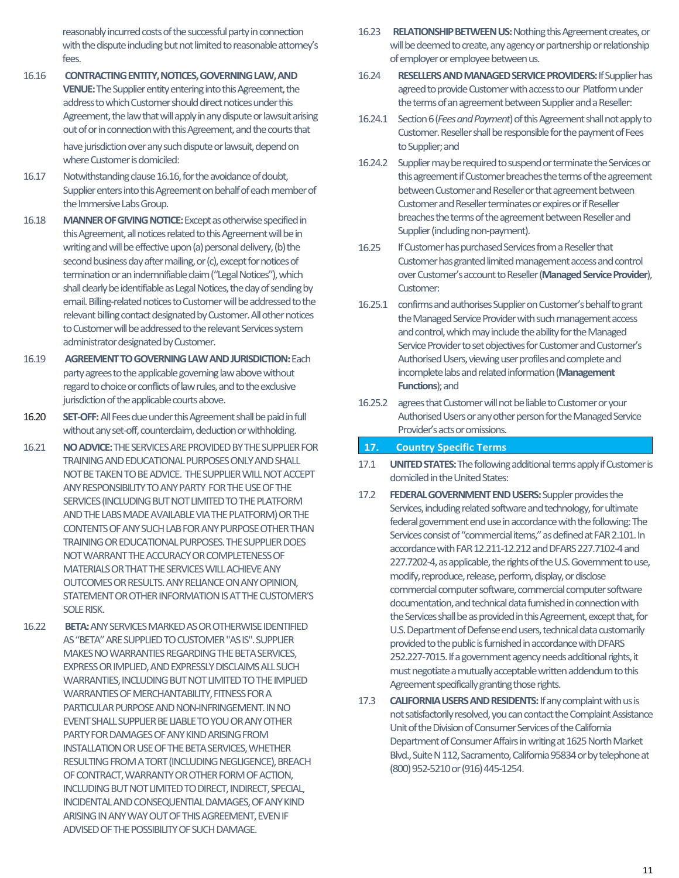reasonably incurred costs of the successful party in connection with the dispute including but not limited to reasonable attorney's fees.

- 16.16 **CONTRACTING ENTITY, NOTICES, GOVERNING LAW, AND VENUE:**The Supplier entity entering into this Agreement, the address to which Customer should direct notices under this Agreement, the law that will apply in any dispute or lawsuit arising out of or in connection with this Agreement, and the courts that have jurisdiction over any such dispute or lawsuit, depend on where Customer is domiciled:
- 16.17 Notwithstanding clause 16.16, for the avoidance of doubt, Supplier enters into this Agreement on behalf of each member of the Immersive Labs Group.
- 16.18 **MANNER OF GIVING NOTICE:**Except as otherwise specified in this Agreement, all notices related to this Agreement will be in writing and will be effective upon (a) personal delivery, (b) the second business day after mailing, or (c), except for notices of termination or an indemnifiable claim ("Legal Notices"), which shall clearly be identifiable as Legal Notices, the day of sending by email. Billing-related notices to Customer will be addressed to the relevant billing contact designated by Customer. All other notices to Customer will be addressed to the relevant Services system administrator designated by Customer.
- 16.19 **AGREEMENT TO GOVERNING LAW AND JURISDICTION:**Each party agrees to the applicable governing law above without regard to choice or conflicts of law rules, and to the exclusive jurisdiction of the applicable courts above.
- 16.20 **SET-OFF:**All Fees due under this Agreement shall be paid in full without anyset-off, counterclaim, deduction or withholding.
- 16.21 **NO ADVICE:**THE SERVICES ARE PROVIDED BY THE SUPPLIER FOR TRAININGAND EDUCATIONALPURPOSES ONLYAND SHALL NOT BE TAKEN TO BE ADVICE. THE SUPPLIER WILL NOT ACCEPT ANY RESPONSIBILITY TO ANY PARTY FOR THE USE OF THE SERVICES (INCLUDING BUT NOT LIMITED TO THE PLATFORM AND THE LABS MADE AVAILABLE VIA THE PLATFORM) OR THE CONTENTS OF ANY SUCH LAB FOR ANY PURPOSE OTHER THAN TRAININGOR EDUCATIONAL PURPOSES. THE SUPPLIER DOES NOT WARRANT THE ACCURACY OR COMPLETENESS OF MATERIALSOR THAT THE SERVICES WILL ACHIEVE ANY OUTCOMES OR RESULTS. ANY RELIANCE ON ANY OPINION, STATEMENT OR OTHER INFORMATION IS AT THE CUSTOMER'S SOLE RISK.
- 16.22 **BETA:**ANY SERVICES MARKED ASOR OTHERWISE IDENTIFIED AS"BETA" ARE SUPPLIED TO CUSTOMER "AS IS". SUPPLIER MAKES NO WARRANTIES REGARDING THE BETA SERVICES, EXPRESS OR IMPLIED, AND EXPRESSLY DISCLAIMS ALL SUCH WARRANTIES, INCLUDING BUT NOT LIMITED TO THE IMPLIED WARRANTIES OF MERCHANTABILITY, FITNESS FOR A PARTICULAR PURPOSE AND NON-INFRINGEMENT.IN NO EVENT SHALLSUPPLIER BE LIABLE TO YOU OR ANY OTHER PARTY FOR DAMAGES OF ANY KIND ARISING FROM INSTALLATION OR USE OF THE BETA SERVICES, WHETHER RESULTING FROM A TORT (INCLUDING NEGLIGENCE), BREACH OF CONTRACT, WARRANTY OR OTHER FORM OF ACTION, INCLUDING BUT NOT LIMITED TO DIRECT, INDIRECT, SPECIAL, INCIDENTAL AND CONSEQUENTIAL DAMAGES, OF ANY KIND ARISING IN ANY WAY OUT OF THIS AGREEMENT, EVEN IF ADVISED OF THE POSSIBILITY OF SUCH DAMAGE.
- 16.23 RELATIONSHIP BETWEEN US: Nothing this Agreement creates, or will be deemed to create, any agency or partnership or relationship of employer or employee between us.
- 16.24 **RESELLERSAND MANAGED SERVICE PROVIDERS:**If Supplier has agreed to provide Customer with access to our Platform under the terms of an agreement between Supplier and a Reseller:
- 16.24.1 Section 6 (*Fees and Payment*) of this Agreement shall not apply to Customer. Reseller shall be responsible for the payment of Fees to Supplier; and
- 16.24.2 Supplier may be required to suspend or terminate the Services or this agreement if Customer breaches the terms of the agreement between Customer and Reseller or that agreement between Customer and Reseller terminates or expires or if Reseller breaches the terms of the agreement between Reseller and Supplier (including non-payment).
- 16.25 If Customer has purchased Services from a Reseller that Customer has granted limited management access and control over Customer's account to Reseller (Managed Service Provider), Customer:
- 16.25.1 confirms and authorises Supplier on Customer's behalf to grant the Managed Service Provider with such management access and control, which may include the ability for the Managed Service Provider to set objectives for Customer and Customer's Authorised Users, viewing user profiles and complete and incomplete labs and related information (**Management Functions**); and
- 16.25.2 agrees that Customer will not be liable to Customer or your Authorised Users or any other person for the Managed Service Provider's acts or omissions.

#### **17. Country Specific Terms**

- 17.1 **UNITED STATES:**The following additional terms apply if Customer is domiciled in the United States:
- 17.2 **FEDERAL GOVERNMENT END USERS:**Suppler provides the Services, including related software and technology, for ultimate federal government end use in accordance with the following: The Services consist of "commercial items," as defined at FAR 2.101. In accordance with FAR 12.211-12.212 and DFARS 227.7102-4 and 227.7202-4, as applicable, the rights of the U.S. Government to use, modify, reproduce, release, perform, display, or disclose commercial computer software, commercial computer software documentation, and technical data furnished in connection with the Services shall be as provided in this Agreement, except that, for U.S. Department of Defense end users, technical data customarily provided to the public is furnished in accordance with DFARS 252.227-7015. If a government agency needs additional rights, it must negotiate a mutually acceptable written addendum to this Agreement specifically granting those rights.
- 17.3 **CALIFORNIA USERS AND RESIDENTS:** If any complaint with us is not satisfactorily resolved, you can contact the Complaint Assistance Unit of the Division of Consumer Services of the California Department of Consumer Affairs in writing at 1625 North Market Blvd., Suite N 112, Sacramento, California 95834 or by telephone at (800) 952-5210 or (916) 445-1254.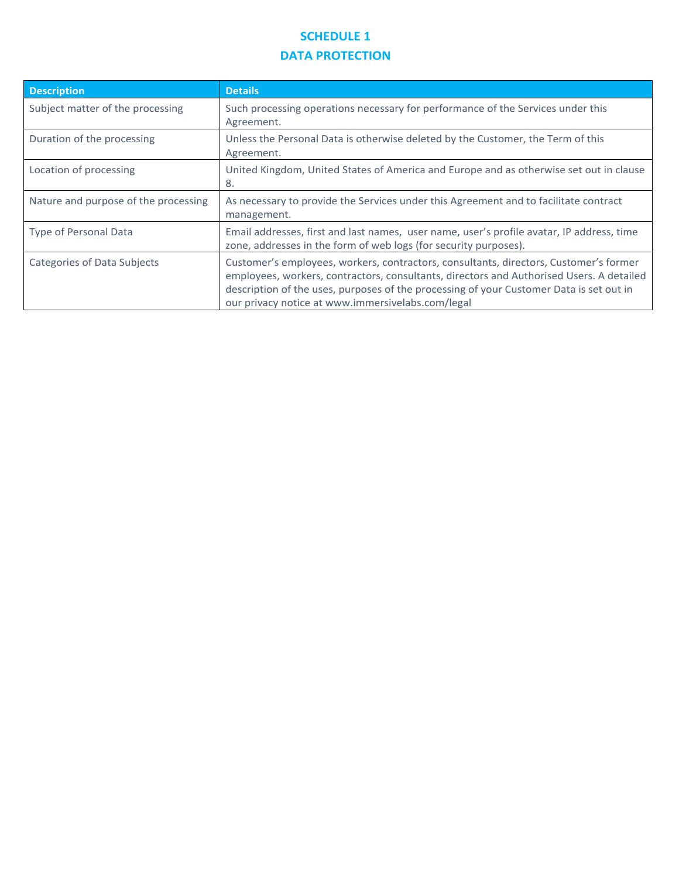## **SCHEDULE 1 DATA PROTECTION**

| <b>Description</b>                   | <b>Details</b>                                                                                                                                                                                                                                                                                                                    |
|--------------------------------------|-----------------------------------------------------------------------------------------------------------------------------------------------------------------------------------------------------------------------------------------------------------------------------------------------------------------------------------|
| Subject matter of the processing     | Such processing operations necessary for performance of the Services under this<br>Agreement.                                                                                                                                                                                                                                     |
| Duration of the processing           | Unless the Personal Data is otherwise deleted by the Customer, the Term of this<br>Agreement.                                                                                                                                                                                                                                     |
| Location of processing               | United Kingdom, United States of America and Europe and as otherwise set out in clause<br>8.                                                                                                                                                                                                                                      |
| Nature and purpose of the processing | As necessary to provide the Services under this Agreement and to facilitate contract<br>management.                                                                                                                                                                                                                               |
| <b>Type of Personal Data</b>         | Email addresses, first and last names, user name, user's profile avatar, IP address, time<br>zone, addresses in the form of web logs (for security purposes).                                                                                                                                                                     |
| Categories of Data Subjects          | Customer's employees, workers, contractors, consultants, directors, Customer's former<br>employees, workers, contractors, consultants, directors and Authorised Users. A detailed<br>description of the uses, purposes of the processing of your Customer Data is set out in<br>our privacy notice at www.immersivelabs.com/legal |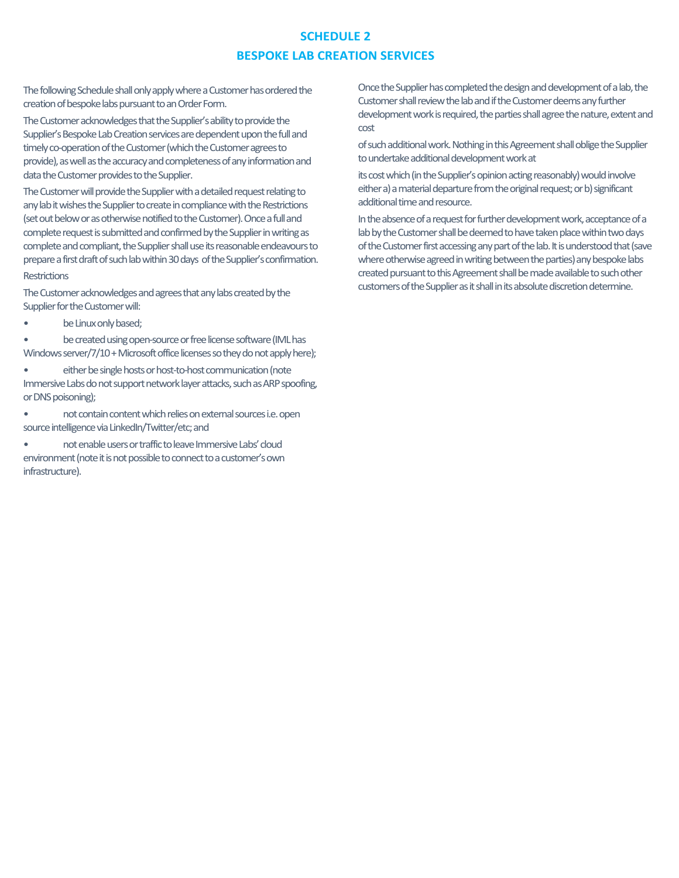### **SCHEDULE 2 BESPOKE LAB CREATION SERVICES**

The following Schedule shall only apply where a Customer has ordered the creation of bespoke labs pursuant to an Order Form.

The Customer acknowledges that the Supplier's ability to provide the Supplier's Bespoke Lab Creation services are dependent upon the full and timely co-operation of the Customer (which the Customer agrees to provide), as well as the accuracy and completeness of any information and data the Customer provides to the Supplier.

The Customer will provide the Supplier with a detailed request relating to any lab it wishes the Supplier to create in compliance with the Restrictions (set out below or as otherwise notified to the Customer). Once a fulland complete request is submitted and confirmed by the Supplier in writing as complete and compliant, the Supplier shall use its reasonable endeavours to prepare a first draft of such lab within 30 days of the Supplier's confirmation. **Restrictions** 

The Customer acknowledges and agrees that any labs created by the Supplier for the Customer will:

be Linux only based;

• be created using open-source or free license software (IML has Windows server/7/10 + Microsoft office licenses so they do not apply here);

• either be single hosts or host-to-host communication (note Immersive Labs do not support network layer attacks, such as ARP spoofing, or DNS poisoning);

• not contain content which relies on external sources i.e. open source intelligence via LinkedIn/Twitter/etc; and

• not enable users or traffic to leave Immersive Labs' cloud environment (note it is not possible to connect to a customer's own infrastructure).

Once the Supplier has completed the design and development of a lab, the Customer shall review the lab and if the Customer deems any further development work is required, the parties shall agree the nature, extent and cost

of such additional work. Nothing in this Agreement shall oblige the Supplier to undertake additional development work at

its cost which (in the Supplier's opinion acting reasonably) would involve either a) a material departure from the original request; or b) significant additional time and resource.

In the absence of a request for further development work, acceptance of a lab by the Customer shall be deemed to have taken place within two days of the Customer first accessing any part of the lab. It is understood that (save where otherwise agreed in writing between the parties) any bespoke labs created pursuant to this Agreement shall be made available to such other customers of the Supplier as it shall in its absolute discretion determine.